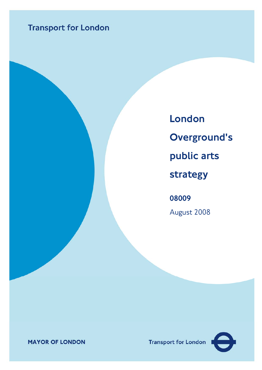# **Transport for London**

08009 August 2008 London Overground's public arts strategy

**MAYOR OF LONDON** 

**Transport for London** 

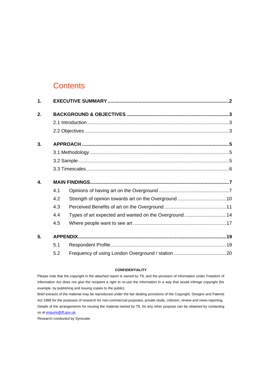### **Contents**

| 1. |     |                                                      |  |  |  |
|----|-----|------------------------------------------------------|--|--|--|
| 2. |     |                                                      |  |  |  |
|    |     |                                                      |  |  |  |
|    |     |                                                      |  |  |  |
| 3. |     |                                                      |  |  |  |
|    |     |                                                      |  |  |  |
|    |     |                                                      |  |  |  |
|    |     |                                                      |  |  |  |
| 4. |     |                                                      |  |  |  |
|    | 4.1 |                                                      |  |  |  |
|    | 4.2 |                                                      |  |  |  |
|    | 4.3 |                                                      |  |  |  |
|    | 4.4 | Types of art expected and wanted on the Overground14 |  |  |  |
|    | 4.5 |                                                      |  |  |  |
| 5. |     |                                                      |  |  |  |
|    | 5.1 |                                                      |  |  |  |
|    | 5.2 |                                                      |  |  |  |

#### **CONFIDENTIALITY**

Please note that the copyright in the attached report is owned by TfL and the provision of information under Freedom of Information Act does not give the recipient a right to re-use the information in a way that would infringe copyright (for example, by publishing and issuing copies to the public).

Brief extracts of the material may be reproduced under the fair dealing provisions of the Copyright, Designs and Patents Act 1988 for the purposes of research for non-commercial purposes, private study, criticism, review and news reporting. Details of the arrangements for reusing the material owned by TfL for any other purpose can be obtained by contacting us at [enquire@tfl.gov.uk](mailto:enquire@tfl.gov.uk).

Research conducted by Synovate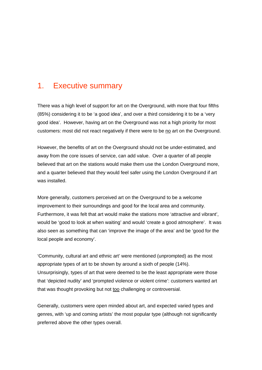### <span id="page-2-0"></span>1. Executive summary

There was a high level of support for art on the Overground, with more that four fifths (85%) considering it to be 'a good idea', and over a third considering it to be a 'very good idea'. However, having art on the Overground was not a high priority for most customers: most did not react negatively if there were to be no art on the Overground.

However, the benefits of art on the Overground should not be under-estimated, and away from the core issues of service, can add value. Over a quarter of all people believed that art on the stations would make them use the London Overground more, and a quarter believed that they would feel safer using the London Overground if art was installed.

More generally, customers perceived art on the Overground to be a welcome improvement to their surroundings and good for the local area and community. Furthermore, it was felt that art would make the stations more 'attractive and vibrant', would be 'good to look at when waiting' and would 'create a good atmosphere'. It was also seen as something that can 'improve the image of the area' and be 'good for the local people and economy'.

'Community, cultural art and ethnic art' were mentioned (unprompted) as the most appropriate types of art to be shown by around a sixth of people (14%). Unsurprisingly, types of art that were deemed to be the least appropriate were those that 'depicted nudity' and 'prompted violence or violent crime': customers wanted art that was thought provoking but not too challenging or controversial.

Generally, customers were open minded about art, and expected varied types and genres, with 'up and coming artists' the most popular type (although not significantly preferred above the other types overall.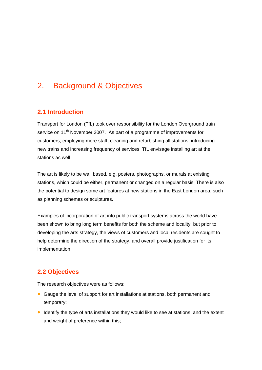### <span id="page-3-0"></span>2. Background & Objectives

#### **2.1 Introduction**

Transport for London (TfL) took over responsibility for the London Overground train service on 11<sup>th</sup> November 2007. As part of a programme of improvements for customers; employing more staff, cleaning and refurbishing all stations, introducing new trains and increasing frequency of services. TfL envisage installing art at the stations as well.

The art is likely to be wall based, e.g. posters, photographs, or murals at existing stations, which could be either, permanent or changed on a regular basis. There is also the potential to design some art features at new stations in the East London area, such as planning schemes or sculptures.

Examples of incorporation of art into public transport systems across the world have been shown to bring long term benefits for both the scheme and locality, but prior to developing the arts strategy, the views of customers and local residents are sought to help determine the direction of the strategy, and overall provide justification for its implementation.

#### **2.2 Objectives**

The research objectives were as follows:

- Gauge the level of support for art installations at stations, both permanent and temporary;
- Identify the type of arts installations they would like to see at stations, and the extent and weight of preference within this;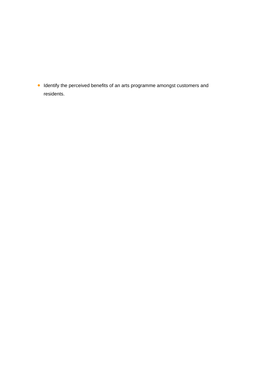• Identify the perceived benefits of an arts programme amongst customers and residents.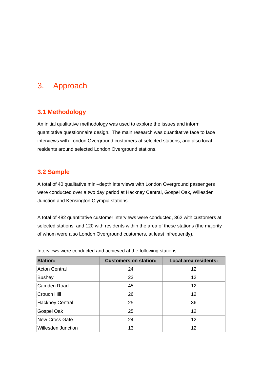### <span id="page-5-0"></span>3. Approach

#### **3.1 Methodology**

An initial qualitative methodology was used to explore the issues and inform quantitative questionnaire design. The main research was quantitative face to face interviews with London Overground customers at selected stations, and also local residents around selected London Overground stations.

#### **3.2 Sample**

A total of 40 qualitative mini–depth interviews with London Overground passengers were conducted over a two day period at Hackney Central, Gospel Oak, Willesden Junction and Kensington Olympia stations.

A total of 482 quantitative customer interviews were conducted, 362 with customers at selected stations, and 120 with residents within the area of these stations (the majority of whom were also London Overground customers, at least infrequently).

| <b>Station:</b>    | <b>Customers on station:</b> | <b>Local area residents:</b> |  |  |
|--------------------|------------------------------|------------------------------|--|--|
| Acton Central      | 24                           | 12                           |  |  |
| Bushey             | 23                           | 12                           |  |  |
| Camden Road        | 45                           | 12                           |  |  |
| Crouch Hill        | 26                           | 12                           |  |  |
| Hackney Central    | 25                           | 36                           |  |  |
| Gospel Oak         | 25                           | 12                           |  |  |
| New Cross Gate     | 24                           | 12                           |  |  |
| Willesden Junction | 13                           | 12                           |  |  |

Interviews were conducted and achieved at the following stations: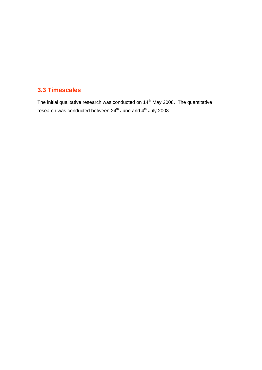#### <span id="page-6-0"></span>**3.3 Timescales**

The initial qualitative research was conducted on  $14<sup>th</sup>$  May 2008. The quantitative research was conducted between  $24^{th}$  June and  $4^{th}$  July 2008.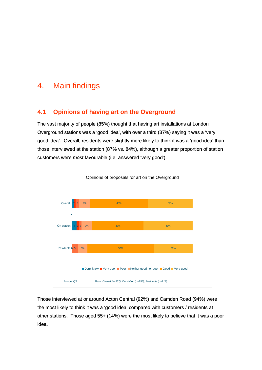### <span id="page-7-0"></span>4. Main findings

#### **4.1 Opinions of having art on the Overground**

The vast majority of people (85%) thought that having art installations at London Overground stations was a 'good idea', with over a third (37%) saying it was a 'very good idea'. Overall, residents were slightly more likely to think it was a 'good idea' than those interviewed at the station (87% vs. 84%), although a greater proportion of station customers were *most* favourable (i.e. answered 'very good').



Those interviewed at or around Acton Central (92%) and Camden Road (94%) were the most likely to think it was a 'good idea' compared with customers / residents at other stations. Those aged 55+ (14%) were the most likely to believe that it was a poor idea.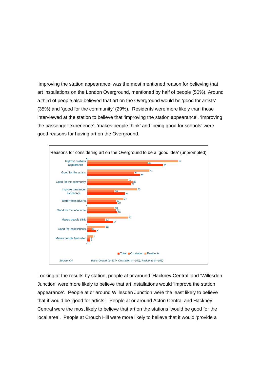'Improving the station appearance' was the most mentioned reason for believing that art installations on the London Overground, mentioned by half of people (50%). Around a third of people also believed that art on the Overground would be 'good for artists' (35%) and 'good for the community' (29%). Residents were more likely than those interviewed at the station to believe that 'improving the station appearance', 'improving the passenger experience', 'makes people think' and 'being good for schools' were good reasons for having art on the Overground.



Looking at the results by station, people at or around 'Hackney Central' and 'Willesden Junction' were more likely to believe that art installations would 'improve the station appearance'. People at or around Willesden Junction were the least likely to believe that it would be 'good for artists'. People at or around Acton Central and Hackney Central were the most likely to believe that art on the stations 'would be good for the local area'. People at Crouch Hill were more likely to believe that it would 'provide a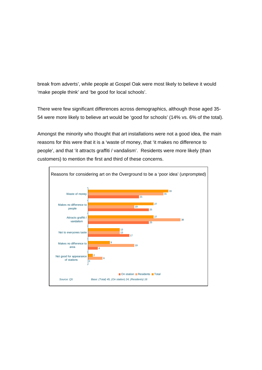break from adverts', while people at Gospel Oak were most likely to believe it would 'make people think' and 'be good for local schools'.

There were few significant differences across demographics, although those aged 35- 54 were more likely to believe art would be 'good for schools' (14% vs. 6% of the total).

Amongst the minority who thought that art installations were not a good idea, the main reasons for this were that it is a 'waste of money, that 'it makes no difference to people', and that 'it attracts graffiti / vandalism'. Residents were more likely (than customers) to mention the first and third of these concerns.

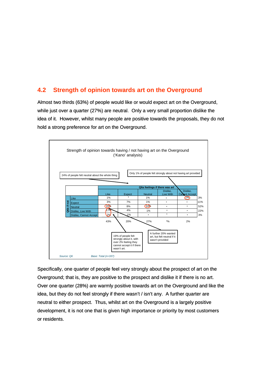#### <span id="page-10-0"></span>**4.2 Strength of opinion towards art on the Overground**

Almost two thirds (63%) of people would like or would expect art on the Overground, while just over a quarter (27%) are neutral. Only a very small proportion dislike the idea of it. However, whilst many people are positive towards the proposals, they do not hold a strong preference for art on the Overground.



Specifically, one quarter of people feel very strongly about the prospect of art on the Overground; that is, they are positive to the prospect and dislike it if there is no art. Over one quarter (28%) are warmly positive towards art on the Overground and like the idea, but they do not feel strongly if there wasn't / isn't any. A further quarter are neutral to either prospect. Thus, whilst art on the Overground is a largely positive development, it is not one that is given high importance or priority by most customers or residents.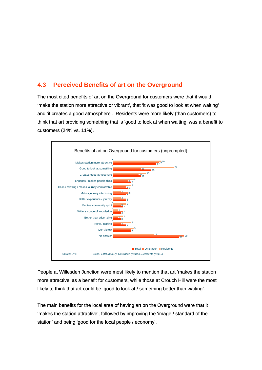#### <span id="page-11-0"></span>**4.3 Perceived Benefits of art on the Overground**

The most cited benefits of art on the Overground for customers were that it would 'make the station more attractive or vibrant', that 'it was good to look at when waiting' and 'it creates a good atmosphere'. Residents were more likely (than customers) to think that art providing something that is 'good to look at when waiting' was a benefit to customers (24% vs. 11%).



People at Willesden Junction were most likely to mention that art 'makes the station more attractive' as a benefit for customers, while those at Crouch Hill were the most likely to think that art could be 'good to look at / something better than waiting'.

The main benefits for the local area of having art on the Overground were that it 'makes the station attractive', followed by improving the 'image / standard of the station' and being 'good for the local people / economy'.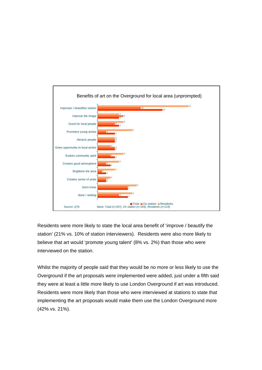

Residents were more likely to state the local area benefit of 'improve / beautify the station' (21% vs. 10% of station interviewers). Residents were also more likely to believe that art would 'promote young talent' (8% vs. 2%) than those who were interviewed on the station.

Whilst the majority of people said that they would be no more or less likely to use the Overground if the art proposals were implemented were added, just under a fifth said they were at least a little more likely to use London Overground if art was introduced. Residents were more likely than those who were interviewed at stations to state that implementing the art proposals would make them use the London Overground more (42% vs. 21%).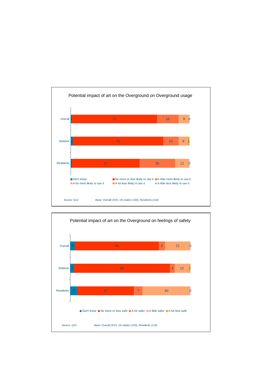

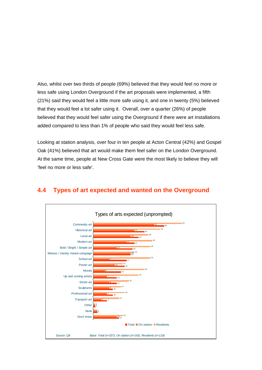<span id="page-14-0"></span>Also, whilst over two thirds of people (69%) believed that they would feel no more or less safe using London Overground if the art proposals were implemented, a fifth (21%) said they would feel a little more safe using it, and one in twenty (5%) believed that they would feel a lot safer using it. Overall, over a quarter (26%) of people believed that they would feel safer using the Overground if there were art installations added compared to less than 1% of people who said they would feel less safe.

Looking at station analysis, over four in ten people at Acton Central (42%) and Gospel Oak (41%) believed that art would make them feel safer on the London Overground. At the same time, people at New Cross Gate were the most likely to believe they will 'feel no more or less safe'.



#### **4.4 Types of art expected and wanted on the Overground**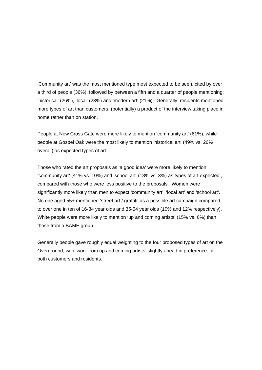'Community art' was the most mentioned type most expected to be seen, cited by over a third of people (36%), followed by between a fifth and a quarter of people mentioning; 'historical' (26%), 'local' (23%) and 'modern art' (21%). Generally, residents mentioned more types of art than customers, (potentially) a product of the interview taking place in home rather than on station.

People at New Cross Gate were more likely to mention 'community art' (61%), while people at Gospel Oak were the most likely to mention 'historical art' (49% vs. 26% overall) as expected types of art.

Those who rated the art proposals as 'a good idea' were more likely to mention 'community art' (41% vs. 10%) and 'school art' (18% vs. 3%) as types of art expected., compared with those who were less positive to the proposals. Women were significantly more likely than men to expect 'community art', 'local art' and 'school art'. No one aged 55+ mentioned 'street art / graffiti' as a possible art campaign compared to over one in ten of 16-34 year olds and 35-54 year olds (10% and 12% respectively). White people were more likely to mention 'up and coming artists' (15% vs. 6%) than those from a BAME group.

Generally people gave roughly equal weighting to the four proposed types of art on the Overground, with 'work from up and coming artists' slightly ahead in preference for both customers and residents.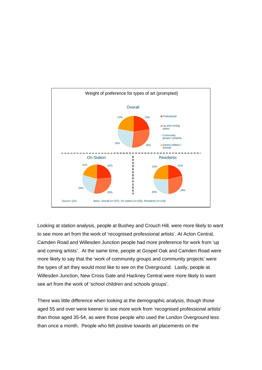

Looking at station analysis, people at Bushey and Crouch Hill, were more likely to want to see more art from the work of 'recognised professional artists'. At Acton Central, Camden Road and Willesden Junction people had more preference for work from 'up and coming artists'. At the same time, people at Gospel Oak and Camden Road were more likely to say that the 'work of community groups and community projects' were the types of art they would most like to see on the Overground. Lastly, people at Willesden Junction, New Cross Gate and Hackney Central were more likely to want see art from the work of 'school children and schools groups'.

There was little difference when looking at the demographic analysis, though those aged 55 and over were keener to see more work from 'recognised professional artists' than those aged 35-54, as were those people who used the London Overground less than once a month. People who felt positive towards art placements on the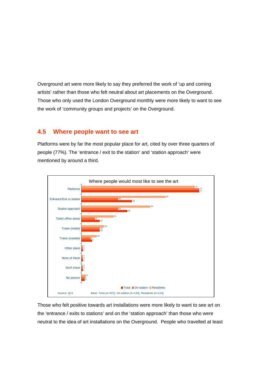<span id="page-17-0"></span>Overground art were more likely to say they preferred the work of 'up and coming artists' rather than those who felt neutral about art placements on the Overground. Those who only used the London Overground monthly were more likely to want to see the work of 'community groups and projects' on the Overground.

#### **4.5 Where people want to see art**

Platforms were by far the most popular place for art, cited by over three quarters of people (77%). The 'entrance / exit to the station' and 'station approach' were mentioned by around a third.



Those who felt positive towards art installations were more likely to want to see art on the 'entrance / exits to stations' and on the 'station approach' than those who were neutral to the idea of art installations on the Overground. People who travelled at least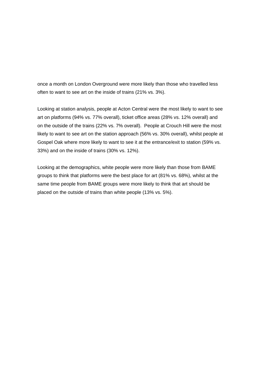once a month on London Overground were more likely than those who travelled less often to want to see art on the inside of trains (21% vs. 3%).

Looking at station analysis, people at Acton Central were the most likely to want to see art on platforms (94% vs. 77% overall), ticket office areas (28% vs. 12% overall) and on the outside of the trains (22% vs. 7% overall). People at Crouch Hill were the most likely to want to see art on the station approach (56% vs. 30% overall), whilst people at Gospel Oak where more likely to want to see it at the entrance/exit to station (59% vs. 33%) and on the inside of trains (30% vs. 12%).

Looking at the demographics, white people were more likely than those from BAME groups to think that platforms were the best place for art (81% vs. 68%), whilst at the same time people from BAME groups were more likely to think that art should be placed on the outside of trains than white people (13% vs. 5%).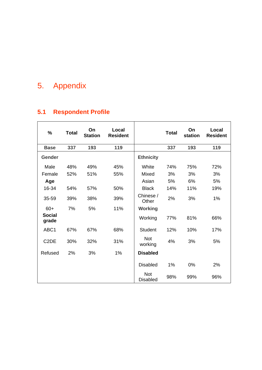# <span id="page-19-0"></span>5. Appendix

## **5.1 Respondent Profile**

| $\%$                   | <b>Total</b> | On<br><b>Station</b> | Local<br><b>Resident</b> |                               | <b>Total</b> | On<br>station | Local<br><b>Resident</b> |
|------------------------|--------------|----------------------|--------------------------|-------------------------------|--------------|---------------|--------------------------|
| <b>Base</b>            | 337          | 193                  | 119                      |                               | 337          | 193           | 119                      |
| Gender                 |              |                      |                          | <b>Ethnicity</b>              |              |               |                          |
| Male                   | 48%          | 49%                  | 45%                      | White                         | 74%          | 75%           | 72%                      |
| Female                 | 52%          | 51%                  | 55%                      | Mixed                         | 3%           | 3%            | 3%                       |
| Age                    |              |                      |                          | Asian                         | 5%           | 6%            | 5%                       |
| 16-34                  | 54%          | 57%                  | 50%                      | <b>Black</b>                  | 14%          | 11%           | 19%                      |
| 35-59                  | 39%          | 38%                  | 39%                      | Chinese /<br>Other            | 2%           | 3%            | 1%                       |
| $60+$                  | 7%           | 5%                   | 11%                      | <b>Working</b>                |              |               |                          |
| <b>Social</b><br>grade |              |                      |                          | Working                       | 77%          | 81%           | 66%                      |
| ABC1                   | 67%          | 67%                  | 68%                      | <b>Student</b>                | 12%          | 10%           | 17%                      |
| C <sub>2</sub> DE      | 30%          | 32%                  | 31%                      | <b>Not</b><br>working         | 4%           | 3%            | 5%                       |
| Refused                | 2%           | 3%                   | 1%                       | <b>Disabled</b>               |              |               |                          |
|                        |              |                      |                          | <b>Disabled</b>               | 1%           | 0%            | 2%                       |
|                        |              |                      |                          | <b>Not</b><br><b>Disabled</b> | 98%          | 99%           | 96%                      |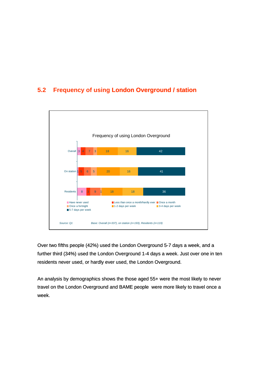### <span id="page-20-0"></span>**5.2 Frequency of using London Overground / station**



Over two fifths people (42%) used the London Overground 5-7 days a week, and a further third (34%) used the London Overground 1-4 days a week. Just over one in ten residents never used, or hardly ever used, the London Overground.

An analysis by demographics shows the those aged 55+ were the most likely to never travel on the London Overground and BAME people were more likely to travel once a week.